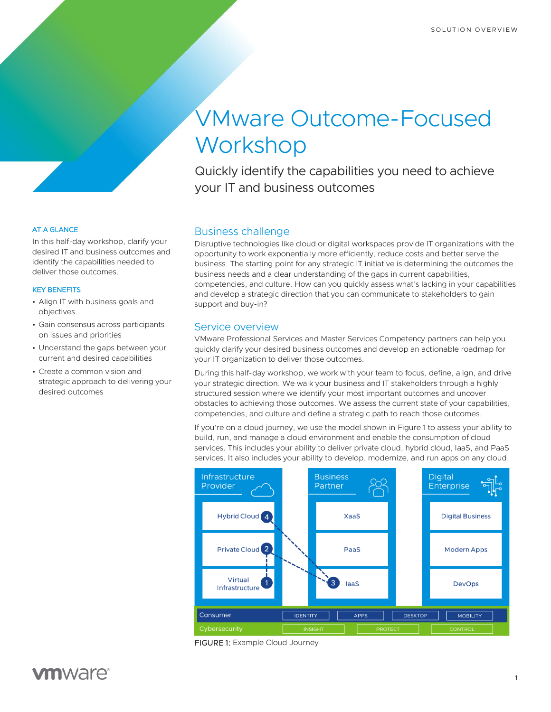# VMware Outcome-Focused **Workshop**

Quickly identify the capabilities you need to achieve your IT and business outcomes

## Business challenge

Disruptive technologies like cloud or digital workspaces provide IT organizations with the opportunity to work exponentially more efficiently, reduce costs and better serve the business. The starting point for any strategic IT initiative is determining the outcomes the business needs and a clear understanding of the gaps in current capabilities, competencies, and culture. How can you quickly assess what's lacking in your capabilities and develop a strategic direction that you can communicate to stakeholders to gain support and buy-in?

## Service overview

VMware Professional Services and Master Services Competency partners can help you quickly clarify your desired business outcomes and develop an actionable roadmap for your IT organization to deliver those outcomes.

During this half-day workshop, we work with your team to focus, define, align, and drive your strategic direction. We walk your business and IT stakeholders through a highly structured session where we identify your most important outcomes and uncover obstacles to achieving those outcomes. We assess the current state of your capabilities, competencies, and culture and define a strategic path to reach those outcomes.

If you're on a cloud journey, we use the model shown in Figure 1 to assess your ability to build, run, and manage a cloud environment and enable the consumption of cloud services. This includes your ability to deliver private cloud, hybrid cloud, IaaS, and PaaS services. It also includes your ability to develop, modernize, and run apps on any cloud.



FIGURE 1: Example Cloud Journey

### AT A GLANCE

In this half-day workshop, clarify your desired IT and business outcomes and identify the capabilities needed to deliver those outcomes.

#### KEY BENEFITS

- Align IT with business goals and objectives
- Gain consensus across participants on issues and priorities
- Understand the gaps between your current and desired capabilities
- Create a common vision and strategic approach to delivering your desired outcomes